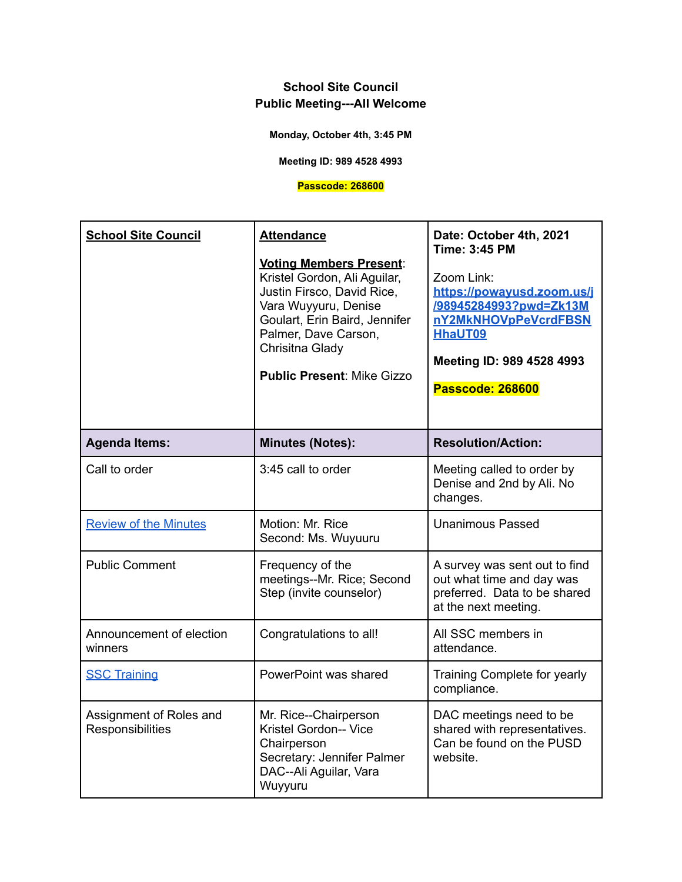**Monday, October 4th, 3:45 PM**

**Meeting ID: 989 4528 4993**

### **Passcode: 268600**

| <b>School Site Council</b>                  | <b>Attendance</b><br><b>Voting Members Present:</b><br>Kristel Gordon, Ali Aguilar,<br>Justin Firsco, David Rice,<br>Vara Wuyyuru, Denise<br>Goulart, Erin Baird, Jennifer<br>Palmer, Dave Carson,<br>Chrisitna Glady<br><b>Public Present: Mike Gizzo</b> | Date: October 4th, 2021<br>Time: 3:45 PM<br>Zoom Link:<br>https://powayusd.zoom.us/j<br>/98945284993?pwd=Zk13M<br>nY2MkNHOVpPeVcrdFBSN<br><b>HhaUT09</b><br>Meeting ID: 989 4528 4993<br><b>Passcode: 268600</b> |
|---------------------------------------------|------------------------------------------------------------------------------------------------------------------------------------------------------------------------------------------------------------------------------------------------------------|------------------------------------------------------------------------------------------------------------------------------------------------------------------------------------------------------------------|
| <b>Agenda Items:</b>                        | <b>Minutes (Notes):</b>                                                                                                                                                                                                                                    | <b>Resolution/Action:</b>                                                                                                                                                                                        |
| Call to order                               | 3:45 call to order                                                                                                                                                                                                                                         | Meeting called to order by<br>Denise and 2nd by Ali. No<br>changes.                                                                                                                                              |
| <b>Review of the Minutes</b>                | Motion: Mr. Rice<br>Second: Ms. Wuyuuru                                                                                                                                                                                                                    | <b>Unanimous Passed</b>                                                                                                                                                                                          |
| <b>Public Comment</b>                       | Frequency of the<br>meetings--Mr. Rice; Second<br>Step (invite counselor)                                                                                                                                                                                  | A survey was sent out to find<br>out what time and day was<br>preferred. Data to be shared<br>at the next meeting.                                                                                               |
| Announcement of election<br>winners         | Congratulations to all!                                                                                                                                                                                                                                    | All SSC members in<br>attendance.                                                                                                                                                                                |
| <b>SSC Training</b>                         | PowerPoint was shared                                                                                                                                                                                                                                      | Training Complete for yearly<br>compliance.                                                                                                                                                                      |
| Assignment of Roles and<br>Responsibilities | Mr. Rice--Chairperson<br>Kristel Gordon-- Vice<br>Chairperson<br>Secretary: Jennifer Palmer<br>DAC--Ali Aguilar, Vara<br>Wuyyuru                                                                                                                           | DAC meetings need to be<br>shared with representatives.<br>Can be found on the PUSD<br>website.                                                                                                                  |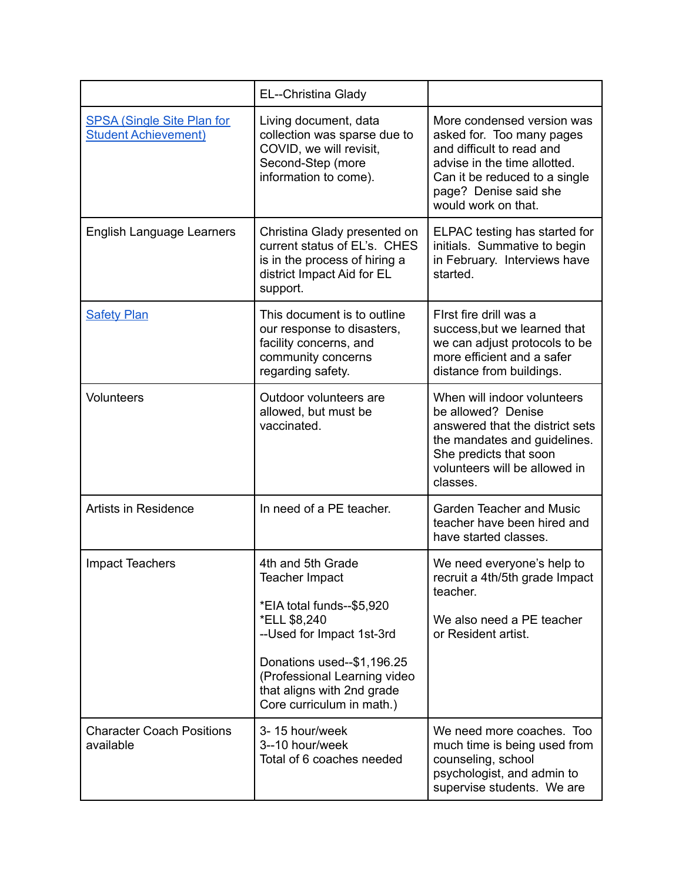|                                                                  | EL--Christina Glady                                                                                                                                                                                                                    |                                                                                                                                                                                                       |
|------------------------------------------------------------------|----------------------------------------------------------------------------------------------------------------------------------------------------------------------------------------------------------------------------------------|-------------------------------------------------------------------------------------------------------------------------------------------------------------------------------------------------------|
| <b>SPSA (Single Site Plan for</b><br><b>Student Achievement)</b> | Living document, data<br>collection was sparse due to<br>COVID, we will revisit,<br>Second-Step (more<br>information to come).                                                                                                         | More condensed version was<br>asked for. Too many pages<br>and difficult to read and<br>advise in the time allotted.<br>Can it be reduced to a single<br>page? Denise said she<br>would work on that. |
| <b>English Language Learners</b>                                 | Christina Glady presented on<br>current status of EL's. CHES<br>is in the process of hiring a<br>district Impact Aid for EL<br>support.                                                                                                | ELPAC testing has started for<br>initials. Summative to begin<br>in February. Interviews have<br>started.                                                                                             |
| <b>Safety Plan</b>                                               | This document is to outline<br>our response to disasters,<br>facility concerns, and<br>community concerns<br>regarding safety.                                                                                                         | First fire drill was a<br>success, but we learned that<br>we can adjust protocols to be<br>more efficient and a safer<br>distance from buildings.                                                     |
| Volunteers                                                       | Outdoor volunteers are<br>allowed, but must be<br>vaccinated.                                                                                                                                                                          | When will indoor volunteers<br>be allowed? Denise<br>answered that the district sets<br>the mandates and guidelines.<br>She predicts that soon<br>volunteers will be allowed in<br>classes.           |
| <b>Artists in Residence</b>                                      | In need of a PE teacher.                                                                                                                                                                                                               | <b>Garden Teacher and Music</b><br>teacher have been hired and<br>have started classes.                                                                                                               |
| <b>Impact Teachers</b>                                           | 4th and 5th Grade<br>Teacher Impact<br>*EIA total funds--\$5,920<br>*ELL \$8,240<br>--Used for Impact 1st-3rd<br>Donations used--\$1,196.25<br>(Professional Learning video<br>that aligns with 2nd grade<br>Core curriculum in math.) | We need everyone's help to<br>recruit a 4th/5th grade Impact<br>teacher.<br>We also need a PE teacher<br>or Resident artist.                                                                          |
| <b>Character Coach Positions</b><br>available                    | 3-15 hour/week<br>3--10 hour/week<br>Total of 6 coaches needed                                                                                                                                                                         | We need more coaches. Too<br>much time is being used from<br>counseling, school<br>psychologist, and admin to<br>supervise students. We are                                                           |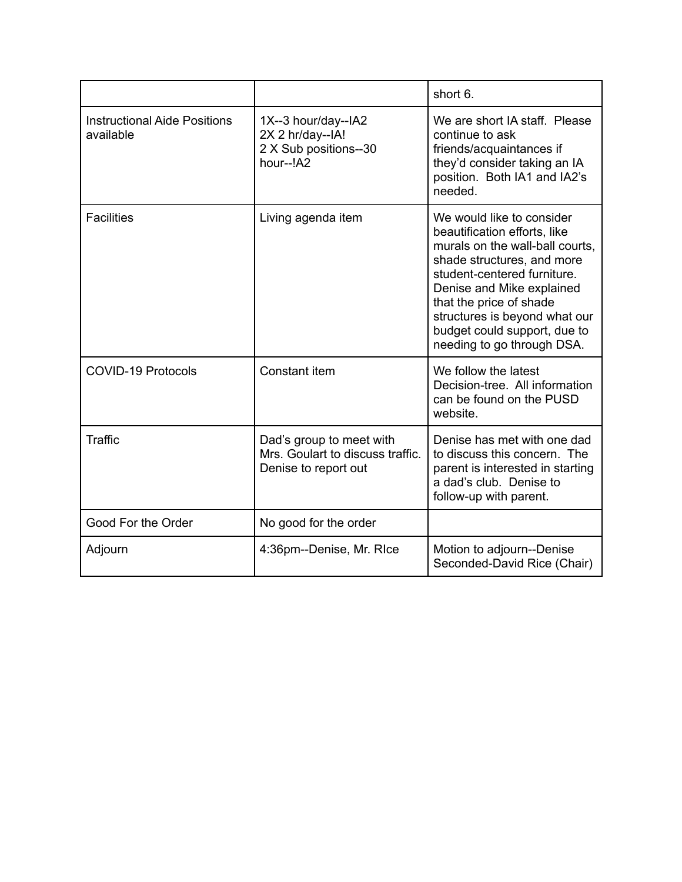|                                                  |                                                                                      | short 6.                                                                                                                                                                                                                                                                                                         |
|--------------------------------------------------|--------------------------------------------------------------------------------------|------------------------------------------------------------------------------------------------------------------------------------------------------------------------------------------------------------------------------------------------------------------------------------------------------------------|
| <b>Instructional Aide Positions</b><br>available | 1X--3 hour/day--IA2<br>2X 2 hr/day--IA!<br>2 X Sub positions--30<br>hour--!A2        | We are short IA staff. Please<br>continue to ask<br>friends/acquaintances if<br>they'd consider taking an IA<br>position. Both IA1 and IA2's<br>needed.                                                                                                                                                          |
| <b>Facilities</b>                                | Living agenda item                                                                   | We would like to consider<br>beautification efforts, like<br>murals on the wall-ball courts.<br>shade structures, and more<br>student-centered furniture.<br>Denise and Mike explained<br>that the price of shade<br>structures is beyond what our<br>budget could support, due to<br>needing to go through DSA. |
| <b>COVID-19 Protocols</b>                        | Constant item                                                                        | We follow the latest<br>Decision-tree. All information<br>can be found on the PUSD<br>website.                                                                                                                                                                                                                   |
| <b>Traffic</b>                                   | Dad's group to meet with<br>Mrs. Goulart to discuss traffic.<br>Denise to report out | Denise has met with one dad<br>to discuss this concern. The<br>parent is interested in starting<br>a dad's club. Denise to<br>follow-up with parent.                                                                                                                                                             |
| Good For the Order                               | No good for the order                                                                |                                                                                                                                                                                                                                                                                                                  |
| Adjourn                                          | 4:36pm--Denise, Mr. RIce                                                             | Motion to adjourn--Denise<br>Seconded-David Rice (Chair)                                                                                                                                                                                                                                                         |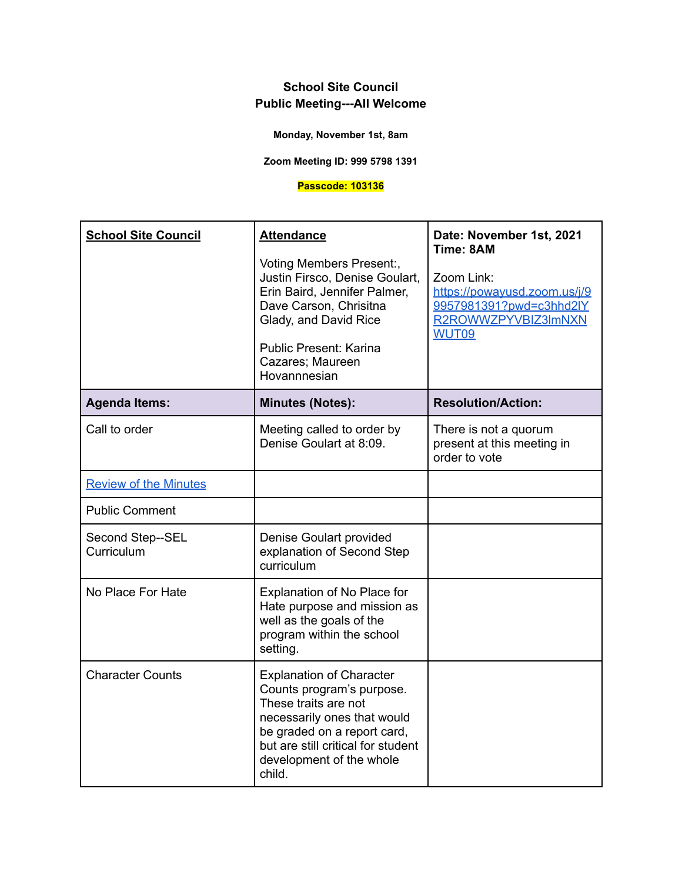**Monday, November 1st, 8am**

**Zoom Meeting ID: 999 5798 1391**

### **Passcode: 103136**

| <b>School Site Council</b>     | <b>Attendance</b><br>Voting Members Present:,<br>Justin Firsco, Denise Goulart,<br>Erin Baird, Jennifer Palmer,<br>Dave Carson, Chrisitna<br>Glady, and David Rice<br>Public Present: Karina<br>Cazares; Maureen<br>Hovannnesian | Date: November 1st, 2021<br>Time: 8AM<br>Zoom Link:<br>https://powayusd.zoom.us/j/9<br>9957981391?pwd=c3hhd2lY<br>R2ROWWZPYVBIZ3ImNXN<br>WUT09 |
|--------------------------------|----------------------------------------------------------------------------------------------------------------------------------------------------------------------------------------------------------------------------------|------------------------------------------------------------------------------------------------------------------------------------------------|
| <b>Agenda Items:</b>           | <b>Minutes (Notes):</b>                                                                                                                                                                                                          | <b>Resolution/Action:</b>                                                                                                                      |
| Call to order                  | Meeting called to order by<br>Denise Goulart at 8:09.                                                                                                                                                                            | There is not a quorum<br>present at this meeting in<br>order to vote                                                                           |
| <b>Review of the Minutes</b>   |                                                                                                                                                                                                                                  |                                                                                                                                                |
| <b>Public Comment</b>          |                                                                                                                                                                                                                                  |                                                                                                                                                |
| Second Step--SEL<br>Curriculum | Denise Goulart provided<br>explanation of Second Step<br>curriculum                                                                                                                                                              |                                                                                                                                                |
| No Place For Hate              | Explanation of No Place for<br>Hate purpose and mission as<br>well as the goals of the<br>program within the school<br>setting.                                                                                                  |                                                                                                                                                |
| <b>Character Counts</b>        | <b>Explanation of Character</b><br>Counts program's purpose.<br>These traits are not<br>necessarily ones that would<br>be graded on a report card,<br>but are still critical for student<br>development of the whole<br>child.   |                                                                                                                                                |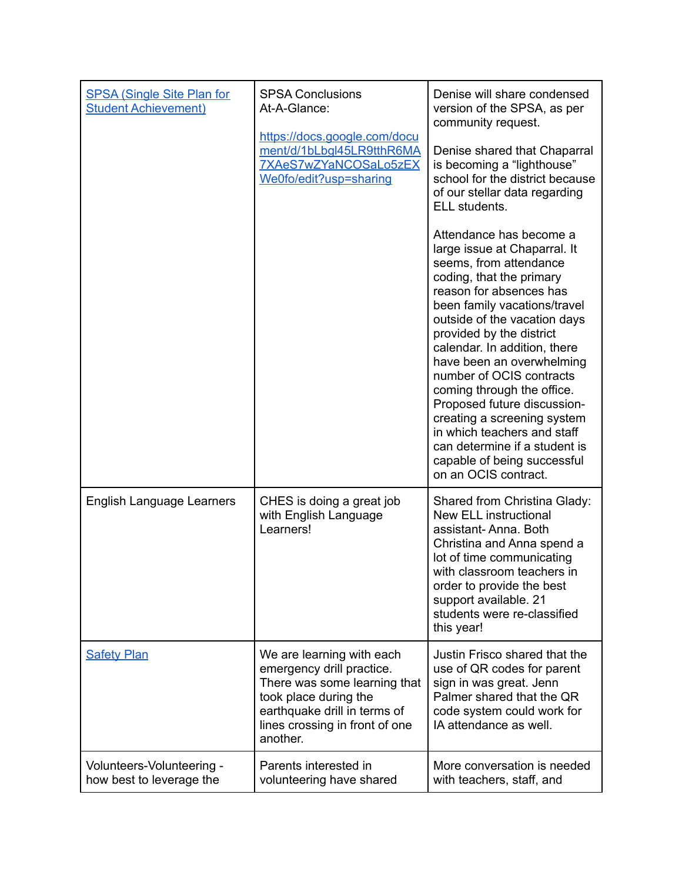| <b>SPSA (Single Site Plan for</b><br><b>Student Achievement)</b> | <b>SPSA Conclusions</b><br>At-A-Glance:<br>https://docs.google.com/docu                                                                                                                       | Denise will share condensed<br>version of the SPSA, as per<br>community request.                                                                                                                                                                                                                                                                                                                                                                                                                                                                 |
|------------------------------------------------------------------|-----------------------------------------------------------------------------------------------------------------------------------------------------------------------------------------------|--------------------------------------------------------------------------------------------------------------------------------------------------------------------------------------------------------------------------------------------------------------------------------------------------------------------------------------------------------------------------------------------------------------------------------------------------------------------------------------------------------------------------------------------------|
|                                                                  | ment/d/1bLbgl45LR9tthR6MA<br>7XAeS7wZYaNCOSaLo5zEX<br>We0fo/edit?usp=sharing                                                                                                                  | Denise shared that Chaparral<br>is becoming a "lighthouse"<br>school for the district because<br>of our stellar data regarding<br>ELL students.                                                                                                                                                                                                                                                                                                                                                                                                  |
|                                                                  |                                                                                                                                                                                               | Attendance has become a<br>large issue at Chaparral. It<br>seems, from attendance<br>coding, that the primary<br>reason for absences has<br>been family vacations/travel<br>outside of the vacation days<br>provided by the district<br>calendar. In addition, there<br>have been an overwhelming<br>number of OCIS contracts<br>coming through the office.<br>Proposed future discussion-<br>creating a screening system<br>in which teachers and staff<br>can determine if a student is<br>capable of being successful<br>on an OCIS contract. |
| English Language Learners                                        | CHES is doing a great job<br>with English Language<br>Learners!                                                                                                                               | Shared from Christina Glady:<br><b>New ELL instructional</b><br>assistant-Anna. Both<br>Christina and Anna spend a<br>lot of time communicating<br>with classroom teachers in<br>order to provide the best<br>support available. 21<br>students were re-classified<br>this year!                                                                                                                                                                                                                                                                 |
| <b>Safety Plan</b>                                               | We are learning with each<br>emergency drill practice.<br>There was some learning that<br>took place during the<br>earthquake drill in terms of<br>lines crossing in front of one<br>another. | Justin Frisco shared that the<br>use of QR codes for parent<br>sign in was great. Jenn<br>Palmer shared that the QR<br>code system could work for<br>IA attendance as well.                                                                                                                                                                                                                                                                                                                                                                      |
| Volunteers-Volunteering -<br>how best to leverage the            | Parents interested in<br>volunteering have shared                                                                                                                                             | More conversation is needed<br>with teachers, staff, and                                                                                                                                                                                                                                                                                                                                                                                                                                                                                         |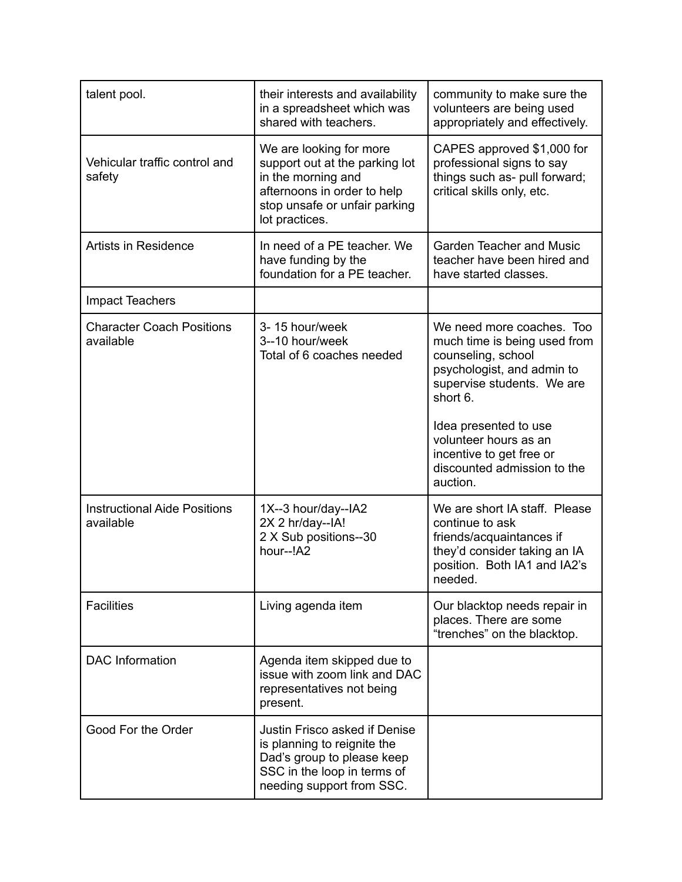| talent pool.                                     | their interests and availability<br>in a spreadsheet which was<br>shared with teachers.                                                                           | community to make sure the<br>volunteers are being used<br>appropriately and effectively.                                                                                                                                                                            |
|--------------------------------------------------|-------------------------------------------------------------------------------------------------------------------------------------------------------------------|----------------------------------------------------------------------------------------------------------------------------------------------------------------------------------------------------------------------------------------------------------------------|
| Vehicular traffic control and<br>safety          | We are looking for more<br>support out at the parking lot<br>in the morning and<br>afternoons in order to help<br>stop unsafe or unfair parking<br>lot practices. | CAPES approved \$1,000 for<br>professional signs to say<br>things such as- pull forward;<br>critical skills only, etc.                                                                                                                                               |
| <b>Artists in Residence</b>                      | In need of a PE teacher. We<br>have funding by the<br>foundation for a PE teacher.                                                                                | <b>Garden Teacher and Music</b><br>teacher have been hired and<br>have started classes.                                                                                                                                                                              |
| <b>Impact Teachers</b>                           |                                                                                                                                                                   |                                                                                                                                                                                                                                                                      |
| <b>Character Coach Positions</b><br>available    | 3-15 hour/week<br>3--10 hour/week<br>Total of 6 coaches needed                                                                                                    | We need more coaches. Too<br>much time is being used from<br>counseling, school<br>psychologist, and admin to<br>supervise students. We are<br>short 6.<br>Idea presented to use<br>volunteer hours as an<br>incentive to get free or<br>discounted admission to the |
|                                                  |                                                                                                                                                                   | auction.                                                                                                                                                                                                                                                             |
| <b>Instructional Aide Positions</b><br>available | 1X--3 hour/day--IA2<br>2X 2 hr/day--IA!<br>2 X Sub positions--30<br>hour--!A2                                                                                     | We are short IA staff. Please<br>continue to ask<br>friends/acquaintances if<br>they'd consider taking an IA<br>position. Both IA1 and IA2's<br>needed.                                                                                                              |
| <b>Facilities</b>                                | Living agenda item                                                                                                                                                | Our blacktop needs repair in<br>places. There are some<br>"trenches" on the blacktop.                                                                                                                                                                                |
| <b>DAC</b> Information                           | Agenda item skipped due to<br>issue with zoom link and DAC<br>representatives not being<br>present.                                                               |                                                                                                                                                                                                                                                                      |
| Good For the Order                               | Justin Frisco asked if Denise<br>is planning to reignite the<br>Dad's group to please keep<br>SSC in the loop in terms of<br>needing support from SSC.            |                                                                                                                                                                                                                                                                      |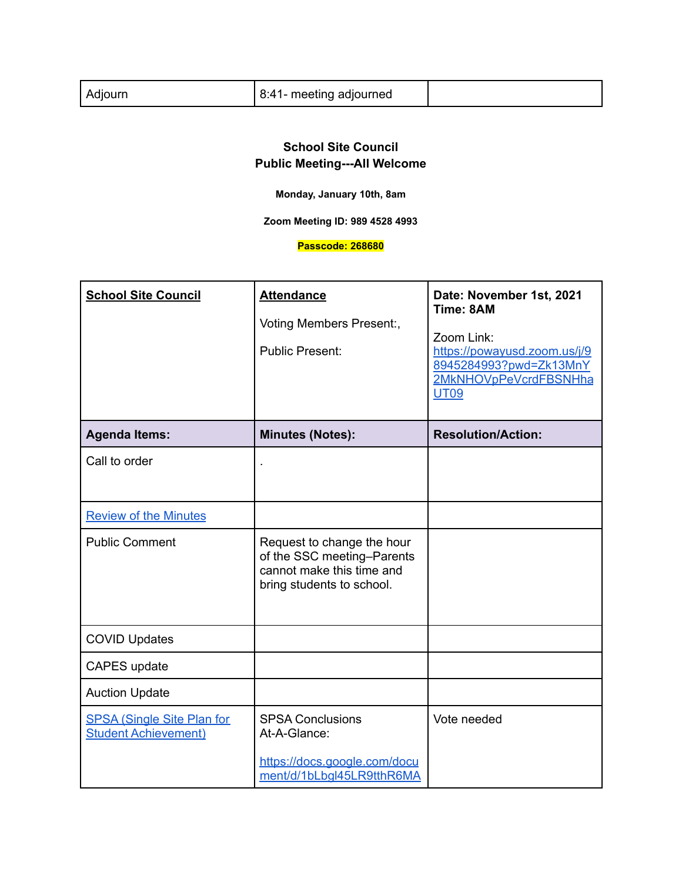| 8:41- meeting adjourned<br>Adjourn |
|------------------------------------|
|------------------------------------|

**Monday, January 10th, 8am**

**Zoom Meeting ID: 989 4528 4993**

**Passcode: 268680**

| <b>School Site Council</b>                                       | <b>Attendance</b><br>Voting Members Present:,<br><b>Public Present:</b>                                            | Date: November 1st, 2021<br>Time: 8AM<br>Zoom Link:<br>https://powayusd.zoom.us/j/9<br>8945284993?pwd=Zk13MnY<br>2MkNHOVpPeVcrdFBSNHha<br><b>UT09</b> |
|------------------------------------------------------------------|--------------------------------------------------------------------------------------------------------------------|-------------------------------------------------------------------------------------------------------------------------------------------------------|
| <b>Agenda Items:</b>                                             | <b>Minutes (Notes):</b>                                                                                            | <b>Resolution/Action:</b>                                                                                                                             |
| Call to order                                                    |                                                                                                                    |                                                                                                                                                       |
| <b>Review of the Minutes</b>                                     |                                                                                                                    |                                                                                                                                                       |
| <b>Public Comment</b>                                            | Request to change the hour<br>of the SSC meeting-Parents<br>cannot make this time and<br>bring students to school. |                                                                                                                                                       |
| <b>COVID Updates</b>                                             |                                                                                                                    |                                                                                                                                                       |
| CAPES update                                                     |                                                                                                                    |                                                                                                                                                       |
| <b>Auction Update</b>                                            |                                                                                                                    |                                                                                                                                                       |
| <b>SPSA (Single Site Plan for</b><br><b>Student Achievement)</b> | <b>SPSA Conclusions</b><br>At-A-Glance:<br>https://docs.google.com/docu<br>ment/d/1bLbql45LR9tthR6MA               | Vote needed                                                                                                                                           |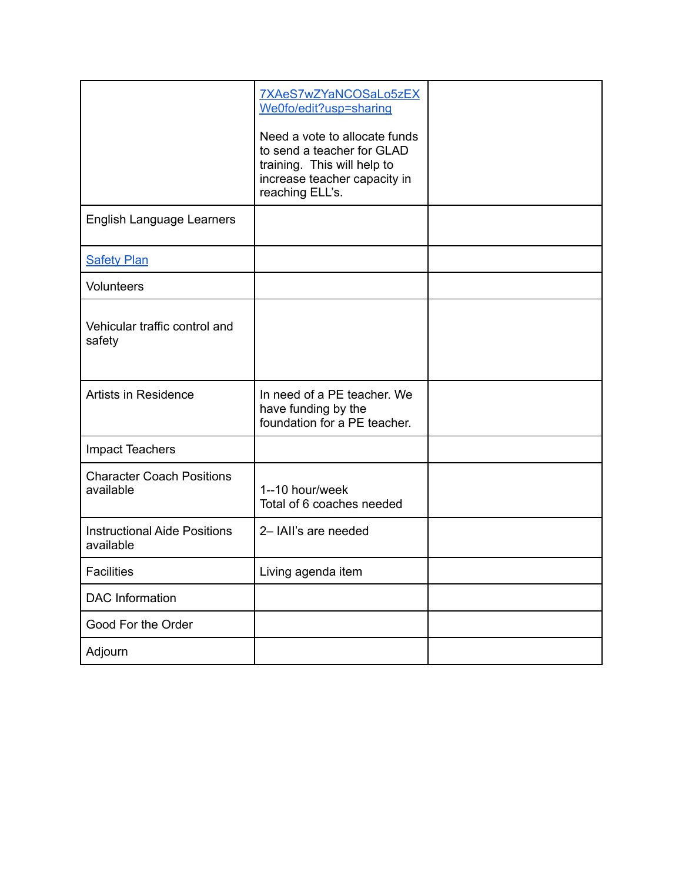|                                                  | 7XAeS7wZYaNCOSaLo5zEX<br>We0fo/edit?usp=sharing<br>Need a vote to allocate funds                             |  |
|--------------------------------------------------|--------------------------------------------------------------------------------------------------------------|--|
|                                                  | to send a teacher for GLAD<br>training. This will help to<br>increase teacher capacity in<br>reaching ELL's. |  |
| English Language Learners                        |                                                                                                              |  |
| <b>Safety Plan</b>                               |                                                                                                              |  |
| <b>Volunteers</b>                                |                                                                                                              |  |
| Vehicular traffic control and<br>safety          |                                                                                                              |  |
| <b>Artists in Residence</b>                      | In need of a PE teacher. We<br>have funding by the<br>foundation for a PE teacher.                           |  |
| <b>Impact Teachers</b>                           |                                                                                                              |  |
| <b>Character Coach Positions</b><br>available    | 1--10 hour/week<br>Total of 6 coaches needed                                                                 |  |
| <b>Instructional Aide Positions</b><br>available | 2- IAII's are needed                                                                                         |  |
| <b>Facilities</b>                                | Living agenda item                                                                                           |  |
| <b>DAC</b> Information                           |                                                                                                              |  |
| Good For the Order                               |                                                                                                              |  |
| Adjourn                                          |                                                                                                              |  |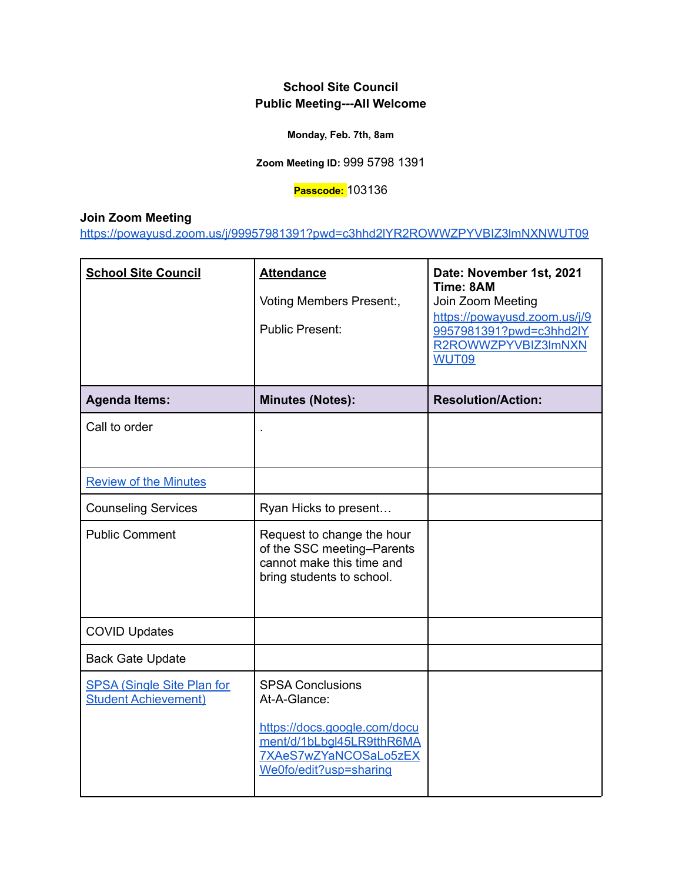**Monday, Feb. 7th, 8am**

**Zoom Meeting ID:** 999 5798 1391

**Passcode:** 103136

**Join Zoom Meeting**

<https://powayusd.zoom.us/j/99957981391?pwd=c3hhd2lYR2ROWWZPYVBIZ3lmNXNWUT09>

| <b>School Site Council</b>                                       | <b>Attendance</b>                                                                                                  | Date: November 1st, 2021<br>Time: 8AM                                                   |
|------------------------------------------------------------------|--------------------------------------------------------------------------------------------------------------------|-----------------------------------------------------------------------------------------|
|                                                                  | Voting Members Present:,                                                                                           | Join Zoom Meeting                                                                       |
|                                                                  | <b>Public Present:</b>                                                                                             | https://powayusd.zoom.us/j/9<br>9957981391?pwd=c3hhd2IY<br>R2ROWWZPYVBIZ3lmNXN<br>WUT09 |
| <b>Agenda Items:</b>                                             | <b>Minutes (Notes):</b>                                                                                            | <b>Resolution/Action:</b>                                                               |
| Call to order                                                    |                                                                                                                    |                                                                                         |
| <b>Review of the Minutes</b>                                     |                                                                                                                    |                                                                                         |
| <b>Counseling Services</b>                                       | Ryan Hicks to present                                                                                              |                                                                                         |
| <b>Public Comment</b>                                            | Request to change the hour<br>of the SSC meeting-Parents<br>cannot make this time and<br>bring students to school. |                                                                                         |
| <b>COVID Updates</b>                                             |                                                                                                                    |                                                                                         |
| <b>Back Gate Update</b>                                          |                                                                                                                    |                                                                                         |
| <b>SPSA (Single Site Plan for</b><br><b>Student Achievement)</b> | <b>SPSA Conclusions</b><br>At-A-Glance:                                                                            |                                                                                         |
|                                                                  | https://docs.google.com/docu<br>ment/d/1bLbgl45LR9tthR6MA<br>7XAeS7wZYaNCOSaLo5zEX<br>We0fo/edit?usp=sharing       |                                                                                         |